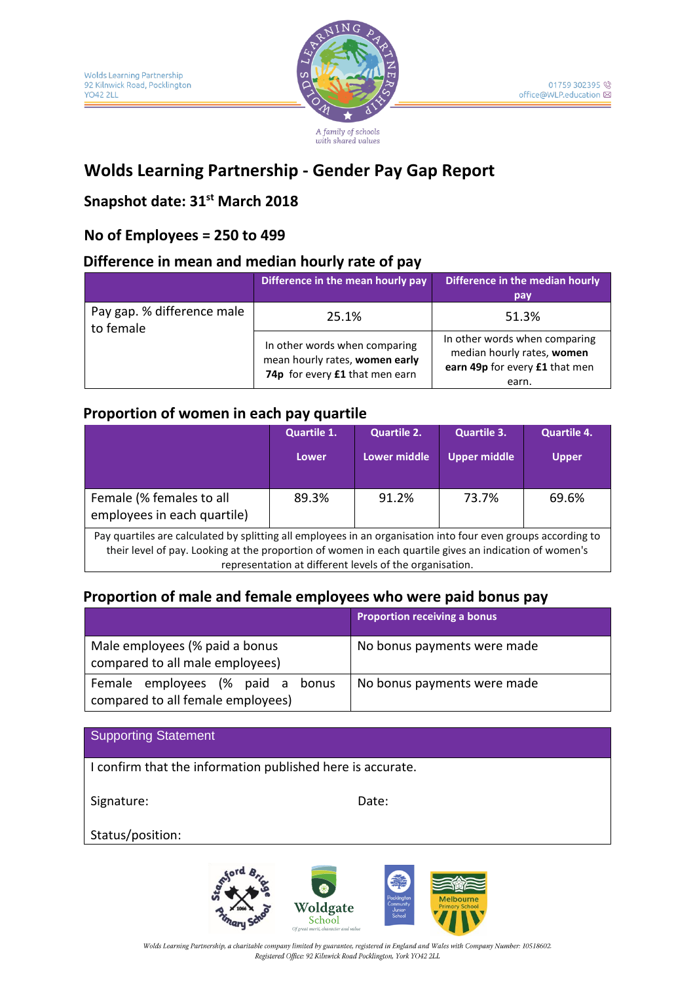

A family of schools with shared values

# **Wolds Learning Partnership - Gender Pay Gap Report**

## **Snapshot date: 31st March 2018**

### **No of Employees = 250 to 499**

#### **Difference in mean and median hourly rate of pay**

|                                         | Difference in the mean hourly pay                                                                 | Difference in the median hourly<br>pay                                                                 |  |
|-----------------------------------------|---------------------------------------------------------------------------------------------------|--------------------------------------------------------------------------------------------------------|--|
| Pay gap. % difference male<br>to female | 25.1%                                                                                             | 51.3%                                                                                                  |  |
|                                         | In other words when comparing<br>mean hourly rates, women early<br>74p for every £1 that men earn | In other words when comparing<br>median hourly rates, women<br>earn 49p for every £1 that men<br>earn. |  |

#### **Proportion of women in each pay quartile**

|                                                                                                                                                                                                                                                                                    | Quartile 1. | <b>Quartile 2.</b> | <b>Quartile 3.</b>  | <b>Quartile 4.</b> |  |
|------------------------------------------------------------------------------------------------------------------------------------------------------------------------------------------------------------------------------------------------------------------------------------|-------------|--------------------|---------------------|--------------------|--|
|                                                                                                                                                                                                                                                                                    | Lower       | Lower middle       | <b>Upper middle</b> | <b>Upper</b>       |  |
| Female (% females to all<br>employees in each quartile)                                                                                                                                                                                                                            | 89.3%       | 91.2%              | 73.7%               | 69.6%              |  |
| Pay quartiles are calculated by splitting all employees in an organisation into four even groups according to<br>their level of pay. Looking at the proportion of women in each quartile gives an indication of women's<br>representation at different levels of the organisation. |             |                    |                     |                    |  |

### **Proportion of male and female employees who were paid bonus pay**

|                                                                          | <b>Proportion receiving a bonus</b> |
|--------------------------------------------------------------------------|-------------------------------------|
| Male employees (% paid a bonus<br>compared to all male employees)        | No bonus payments were made         |
| Female employees (% paid a<br>bonus<br>compared to all female employees) | No bonus payments were made         |

| <b>Supporting Statement</b>                                |       |  |  |
|------------------------------------------------------------|-------|--|--|
| I confirm that the information published here is accurate. |       |  |  |
| Signature:                                                 | Date: |  |  |
| Status/position:                                           |       |  |  |